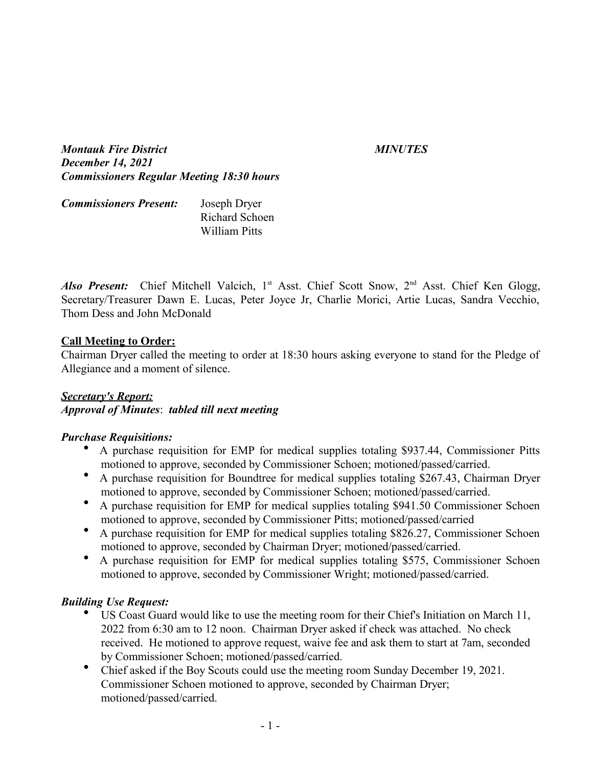*Montauk Fire District MINUTES December 14, 2021 Commissioners Regular Meeting 18:30 hours*

| <b>Commissioners Present:</b> | Joseph Dryer   |
|-------------------------------|----------------|
|                               | Richard Schoen |
|                               | William Pitts  |

Also Present: Chief Mitchell Valcich, 1<sup>st</sup> Asst. Chief Scott Snow, 2<sup>nd</sup> Asst. Chief Ken Glogg, Secretary/Treasurer Dawn E. Lucas, Peter Joyce Jr, Charlie Morici, Artie Lucas, Sandra Vecchio, Thom Dess and John McDonald

#### **Call Meeting to Order:**

Chairman Dryer called the meeting to order at 18:30 hours asking everyone to stand for the Pledge of Allegiance and a moment of silence.

## *Secretary's Report: Approval of Minutes*: *tabled till next meeting*

## *Purchase Requisitions:*

- A purchase requisition for EMP for medical supplies totaling \$937.44, Commissioner Pitts motioned to approve, seconded by Commissioner Schoen; motioned/passed/carried.
- A purchase requisition for Boundtree for medical supplies totaling \$267.43, Chairman Dryer motioned to approve, seconded by Commissioner Schoen; motioned/passed/carried.
- A purchase requisition for EMP for medical supplies totaling \$941.50 Commissioner Schoen motioned to approve, seconded by Commissioner Pitts; motioned/passed/carried
- A purchase requisition for EMP for medical supplies totaling \$826.27, Commissioner Schoen motioned to approve, seconded by Chairman Dryer; motioned/passed/carried.
- A purchase requisition for EMP for medical supplies totaling \$575, Commissioner Schoen motioned to approve, seconded by Commissioner Wright; motioned/passed/carried.

## *Building Use Request:*

- US Coast Guard would like to use the meeting room for their Chief's Initiation on March 11, 2022 from 6:30 am to 12 noon. Chairman Dryer asked if check was attached. No check received. He motioned to approve request, waive fee and ask them to start at 7am, seconded by Commissioner Schoen; motioned/passed/carried.
- Chief asked if the Boy Scouts could use the meeting room Sunday December 19, 2021. Commissioner Schoen motioned to approve, seconded by Chairman Dryer; motioned/passed/carried.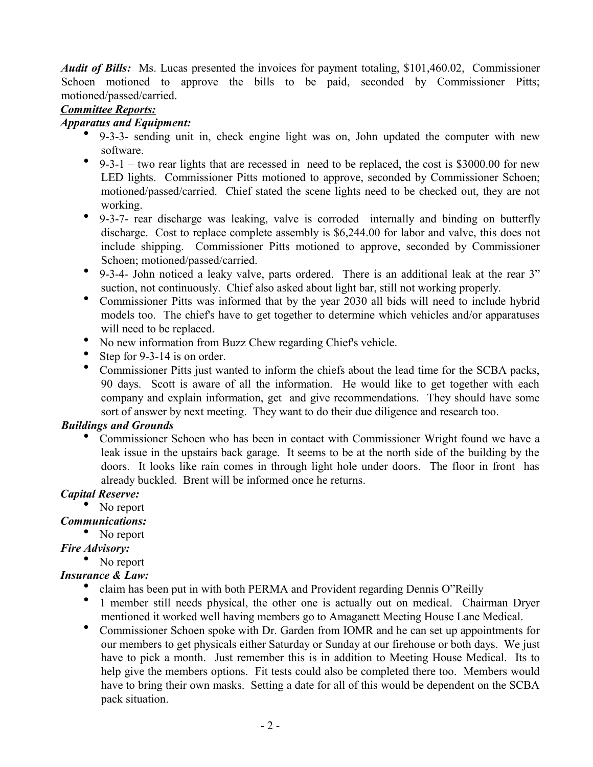*Audit of Bills:* Ms. Lucas presented the invoices for payment totaling, \$101,460.02, Commissioner Schoen motioned to approve the bills to be paid, seconded by Commissioner Pitts; motioned/passed/carried.

## *Committee Reports:*

#### *Apparatus and Equipment:*

- 9-3-3- sending unit in, check engine light was on, John updated the computer with new software.
- 9-3-1 two rear lights that are recessed in need to be replaced, the cost is \$3000.00 for new LED lights. Commissioner Pitts motioned to approve, seconded by Commissioner Schoen; motioned/passed/carried. Chief stated the scene lights need to be checked out, they are not working.
- 9-3-7- rear discharge was leaking, valve is corroded internally and binding on butterfly discharge. Cost to replace complete assembly is \$6,244.00 for labor and valve, this does not include shipping. Commissioner Pitts motioned to approve, seconded by Commissioner Schoen; motioned/passed/carried.
- 9-3-4- John noticed a leaky valve, parts ordered. There is an additional leak at the rear 3" suction, not continuously. Chief also asked about light bar, still not working properly.
- Commissioner Pitts was informed that by the year 2030 all bids will need to include hybrid models too. The chief's have to get together to determine which vehicles and/or apparatuses will need to be replaced.
- No new information from Buzz Chew regarding Chief's vehicle.
- Step for 9-3-14 is on order.
- Commissioner Pitts just wanted to inform the chiefs about the lead time for the SCBA packs, 90 days. Scott is aware of all the information. He would like to get together with each company and explain information, get and give recommendations. They should have some sort of answer by next meeting. They want to do their due diligence and research too.

## *Buildings and Grounds*

 Commissioner Schoen who has been in contact with Commissioner Wright found we have a leak issue in the upstairs back garage. It seems to be at the north side of the building by the doors. It looks like rain comes in through light hole under doors. The floor in front has already buckled. Brent will be informed once he returns.

# *Capital Reserve:*

# • No report

# *Communications:*

• No report

# *Fire Advisory:*

• No report

# *Insurance & Law:*

- claim has been put in with both PERMA and Provident regarding Dennis O"Reilly
- 1 member still needs physical, the other one is actually out on medical. Chairman Dryer mentioned it worked well having members go to Amaganett Meeting House Lane Medical.
- Commissioner Schoen spoke with Dr. Garden from IOMR and he can set up appointments for our members to get physicals either Saturday or Sunday at our firehouse or both days. We just have to pick a month. Just remember this is in addition to Meeting House Medical. Its to help give the members options. Fit tests could also be completed there too. Members would have to bring their own masks. Setting a date for all of this would be dependent on the SCBA pack situation.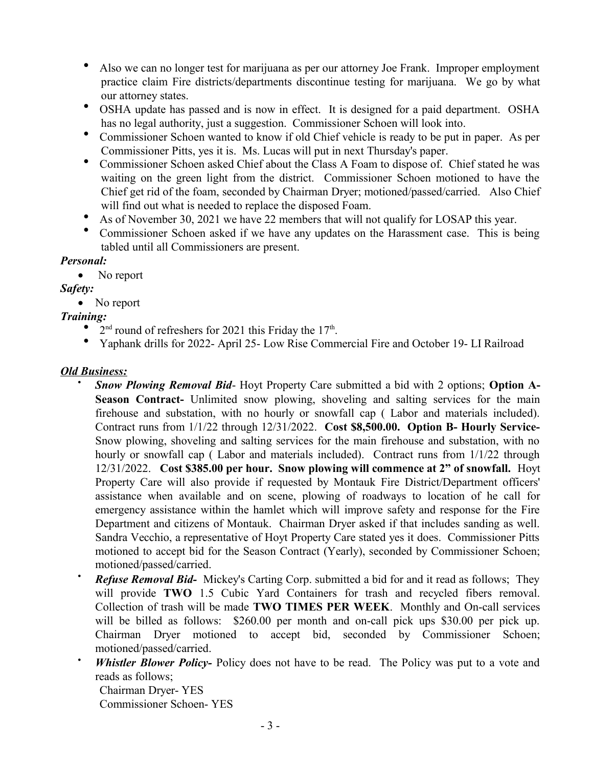- Also we can no longer test for marijuana as per our attorney Joe Frank. Improper employment practice claim Fire districts/departments discontinue testing for marijuana. We go by what our attorney states.
- OSHA update has passed and is now in effect. It is designed for a paid department. OSHA has no legal authority, just a suggestion. Commissioner Schoen will look into.
- Commissioner Schoen wanted to know if old Chief vehicle is ready to be put in paper. As per Commissioner Pitts, yes it is. Ms. Lucas will put in next Thursday's paper.
- Commissioner Schoen asked Chief about the Class A Foam to dispose of. Chief stated he was waiting on the green light from the district. Commissioner Schoen motioned to have the Chief get rid of the foam, seconded by Chairman Dryer; motioned/passed/carried. Also Chief will find out what is needed to replace the disposed Foam.
- As of November 30, 2021 we have 22 members that will not qualify for LOSAP this year.
- Commissioner Schoen asked if we have any updates on the Harassment case. This is being tabled until all Commissioners are present.

## *Personal:*

• No report

# *Safety:*

• No report

# *Training:*

- $2<sup>nd</sup>$  round of refreshers for 2021 this Friday the 17<sup>th</sup>.
- Yaphank drills for 2022- April 25- Low Rise Commercial Fire and October 19- LI Railroad

## *Old Business:*

- *Snow Plowing Removal Bid* Hoyt Property Care submitted a bid with 2 options; **Option A-**Season Contract- Unlimited snow plowing, shoveling and salting services for the main firehouse and substation, with no hourly or snowfall cap ( Labor and materials included). Contract runs from 1/1/22 through 12/31/2022. **Cost \$8,500.00. Option B- Hourly Service-**Snow plowing, shoveling and salting services for the main firehouse and substation, with no hourly or snowfall cap ( Labor and materials included). Contract runs from 1/1/22 through 12/31/2022. **Cost \$385.00 per hour. Snow plowing will commence at 2" of snowfall.** Hoyt Property Care will also provide if requested by Montauk Fire District/Department officers' assistance when available and on scene, plowing of roadways to location of he call for emergency assistance within the hamlet which will improve safety and response for the Fire Department and citizens of Montauk. Chairman Dryer asked if that includes sanding as well. Sandra Vecchio, a representative of Hoyt Property Care stated yes it does. Commissioner Pitts motioned to accept bid for the Season Contract (Yearly), seconded by Commissioner Schoen; motioned/passed/carried.
- *Refuse Removal Bid-* Mickey's Carting Corp. submitted a bid for and it read as follows; They will provide **TWO** 1.5 Cubic Yard Containers for trash and recycled fibers removal. Collection of trash will be made **TWO TIMES PER WEEK**. Monthly and On-call services will be billed as follows: \$260.00 per month and on-call pick ups \$30.00 per pick up. Chairman Dryer motioned to accept bid, seconded by Commissioner Schoen; motioned/passed/carried.
- *Whistler Blower Policy-* Policy does not have to be read. The Policy was put to a vote and reads as follows;
	- Chairman Dryer- YES
	- Commissioner Schoen- YES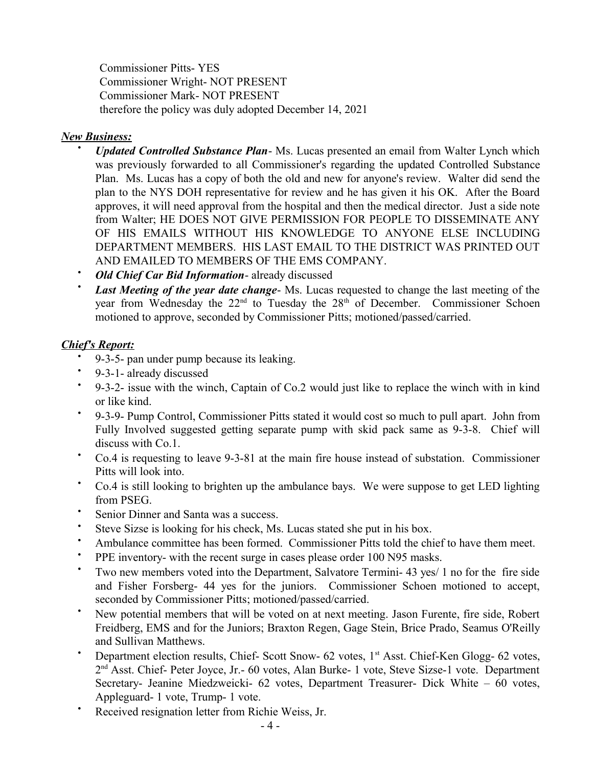Commissioner Pitts- YES Commissioner Wright- NOT PRESENT Commissioner Mark- NOT PRESENT therefore the policy was duly adopted December 14, 2021

#### *New Business:*

- *Updated Controlled Substance Plan* Ms. Lucas presented an email from Walter Lynch which was previously forwarded to all Commissioner's regarding the updated Controlled Substance Plan. Ms. Lucas has a copy of both the old and new for anyone's review. Walter did send the plan to the NYS DOH representative for review and he has given it his OK. After the Board approves, it will need approval from the hospital and then the medical director. Just a side note from Walter; HE DOES NOT GIVE PERMISSION FOR PEOPLE TO DISSEMINATE ANY OF HIS EMAILS WITHOUT HIS KNOWLEDGE TO ANYONE ELSE INCLUDING DEPARTMENT MEMBERS. HIS LAST EMAIL TO THE DISTRICT WAS PRINTED OUT AND EMAILED TO MEMBERS OF THE EMS COMPANY.
- *Old Chief Car Bid Information* already discussed
- *Last Meeting of the year date change* Ms. Lucas requested to change the last meeting of the year from Wednesday the  $22<sup>nd</sup>$  to Tuesday the  $28<sup>th</sup>$  of December. Commissioner Schoen motioned to approve, seconded by Commissioner Pitts; motioned/passed/carried.

## *Chief's Report:*

- . 9-3-5- pan under pump because its leaking.
- 9-3-1- already discussed
- 9-3-2- issue with the winch, Captain of Co.2 would just like to replace the winch with in kind or like kind.
- $\bullet$ 9-3-9- Pump Control, Commissioner Pitts stated it would cost so much to pull apart. John from Fully Involved suggested getting separate pump with skid pack same as 9-3-8. Chief will discuss with Co.1.
- Co.4 is requesting to leave 9-3-81 at the main fire house instead of substation. Commissioner Pitts will look into.
- Co.4 is still looking to brighten up the ambulance bays. We were suppose to get LED lighting from PSEG.
- Senior Dinner and Santa was a success.
- Steve Sizse is looking for his check, Ms. Lucas stated she put in his box.
- Ambulance committee has been formed. Commissioner Pitts told the chief to have them meet.
- PPE inventory- with the recent surge in cases please order 100 N95 masks.
- Two new members voted into the Department, Salvatore Termini- 43 yes/ 1 no for the fire side and Fisher Forsberg- 44 yes for the juniors. Commissioner Schoen motioned to accept, seconded by Commissioner Pitts; motioned/passed/carried.
- New potential members that will be voted on at next meeting. Jason Furente, fire side, Robert Freidberg, EMS and for the Juniors; Braxton Regen, Gage Stein, Brice Prado, Seamus O'Reilly and Sullivan Matthews.
- Department election results, Chief- Scott Snow- 62 votes, 1<sup>st</sup> Asst. Chief-Ken Glogg- 62 votes, 2<sup>nd</sup> Asst. Chief- Peter Joyce, Jr.- 60 votes, Alan Burke- 1 vote, Steve Sizse-1 vote. Department Secretary- Jeanine Miedzweicki- 62 votes, Department Treasurer- Dick White – 60 votes, Appleguard- 1 vote, Trump- 1 vote.
- Received resignation letter from Richie Weiss, Jr.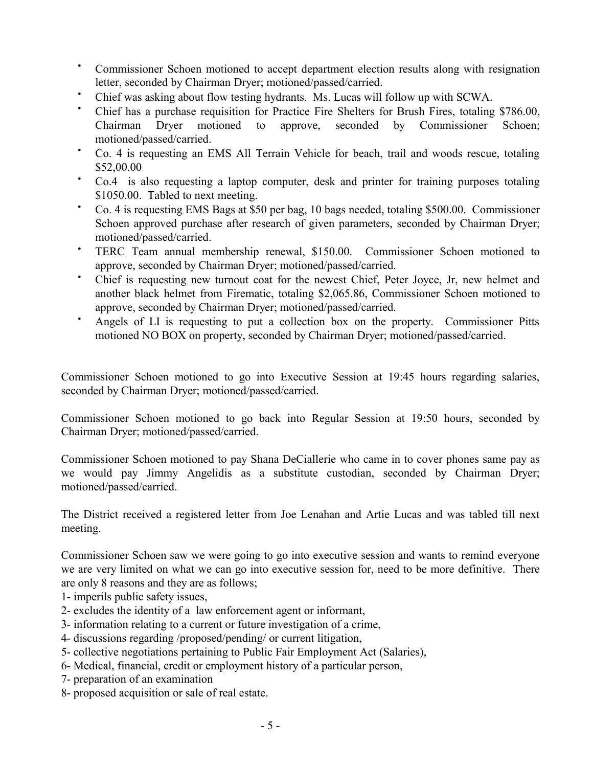- Commissioner Schoen motioned to accept department election results along with resignation letter, seconded by Chairman Dryer; motioned/passed/carried.
- Chief was asking about flow testing hydrants. Ms. Lucas will follow up with SCWA.
- Chief has a purchase requisition for Practice Fire Shelters for Brush Fires, totaling \$786.00, Chairman Dryer motioned to approve, seconded by Commissioner Schoen; motioned/passed/carried.
- Co. 4 is requesting an EMS All Terrain Vehicle for beach, trail and woods rescue, totaling \$52,00.00
- Co.4 is also requesting a laptop computer, desk and printer for training purposes totaling \$1050.00. Tabled to next meeting.
- Co. 4 is requesting EMS Bags at \$50 per bag, 10 bags needed, totaling \$500.00. Commissioner Schoen approved purchase after research of given parameters, seconded by Chairman Dryer; motioned/passed/carried.
- TERC Team annual membership renewal, \$150.00. Commissioner Schoen motioned to approve, seconded by Chairman Dryer; motioned/passed/carried.
- Chief is requesting new turnout coat for the newest Chief, Peter Joyce, Jr, new helmet and another black helmet from Firematic, totaling \$2,065.86, Commissioner Schoen motioned to approve, seconded by Chairman Dryer; motioned/passed/carried.
- Angels of LI is requesting to put a collection box on the property. Commissioner Pitts motioned NO BOX on property, seconded by Chairman Dryer; motioned/passed/carried.

Commissioner Schoen motioned to go into Executive Session at 19:45 hours regarding salaries, seconded by Chairman Dryer; motioned/passed/carried.

Commissioner Schoen motioned to go back into Regular Session at 19:50 hours, seconded by Chairman Dryer; motioned/passed/carried.

Commissioner Schoen motioned to pay Shana DeCiallerie who came in to cover phones same pay as we would pay Jimmy Angelidis as a substitute custodian, seconded by Chairman Dryer; motioned/passed/carried.

The District received a registered letter from Joe Lenahan and Artie Lucas and was tabled till next meeting.

Commissioner Schoen saw we were going to go into executive session and wants to remind everyone we are very limited on what we can go into executive session for, need to be more definitive. There are only 8 reasons and they are as follows;

- 1- imperils public safety issues,
- 2- excludes the identity of a law enforcement agent or informant,
- 3- information relating to a current or future investigation of a crime,
- 4- discussions regarding /proposed/pending/ or current litigation,
- 5- collective negotiations pertaining to Public Fair Employment Act (Salaries),
- 6- Medical, financial, credit or employment history of a particular person,
- 7- preparation of an examination
- 8- proposed acquisition or sale of real estate.